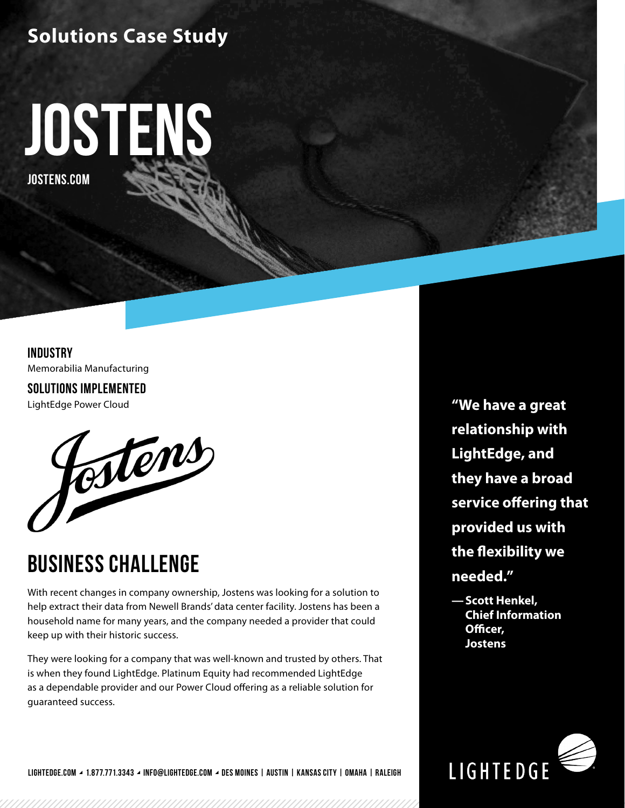### **Solutions Case Study**



**INDUSTRY** Memorabilia Manufacturing

**SOLUTIONS IMPLEMENTED**



### **BUSINESS CHALLENGE**

With recent changes in company ownership, Jostens was looking for a solution to help extract their data from Newell Brands' data center facility. Jostens has been a household name for many years, and the company needed a provider that could keep up with their historic success.

They were looking for a company that was well-known and trusted by others. That is when they found LightEdge. Platinum Equity had recommended LightEdge as a dependable provider and our Power Cloud offering as a reliable solution for guaranteed success.

LightEdge Power Cloud **"We have a great relationship with LightEdge, and they have a broad service offering that provided us with the flexibility we needed."** 

> **—Scott Henkel, Chief Information Officer, Jostens**